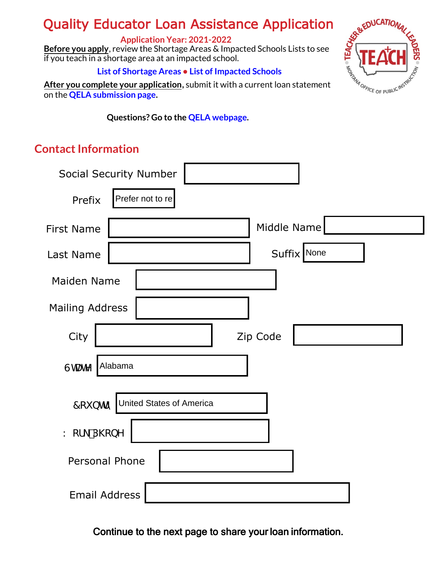# Quality Educator Loan Assistance Application

#### **Application Year: 2021-2022**

**Before you apply**, review the Shortage Areas & Impacted Schools Lists to see if you teach in a shortage area at an impacted school.

#### **List of S[hortage Ar](https://opi.mt.gov/Portals/182/Page%20Files/Educator%20Recruitment%20and%20Retention/Critical%20Educator%20Shortage%20Report%2021-22.pdf?ver=2022-01-26-160451-360)eas • List of I[mpacted School](https://opi.mt.gov/Portals/182/Page%20Files/Educator%20Recruitment%20and%20Retention/CurrentImpactedSchoolsClean.pdf?ver=2022-01-31-094605-270)s**

**After you complete your application,** submit it with a current loan statement on the **[QELA submission page.](https://montanaopi.sjc1.qualtrics.com/jfe/form/SV_1Ib2rSAXx2vu3r0)** 

**Questions? Go to the [QELA webpage.](https://opi.mt.gov/Educators/Licensure/Educator-Recruitment-Retention)**

### **Contact Information**

|                        | <b>Social Security Number</b>      |
|------------------------|------------------------------------|
| Prefix                 | Prefer not to re                   |
| <b>First Name</b>      | Middle Name                        |
| Last Name              | Suffix None                        |
| <b>Maiden Name</b>     |                                    |
| <b>Mailing Address</b> |                                    |
| City                   | Zip Code                           |
| GHUHY                  | Alabama                            |
|                        | 7 ci bhfm United States of America |
| K cf_D\cbY             |                                    |
| <b>Personal Phone</b>  |                                    |
| <b>Email Address</b>   |                                    |



Continue to the next page to share your loan information.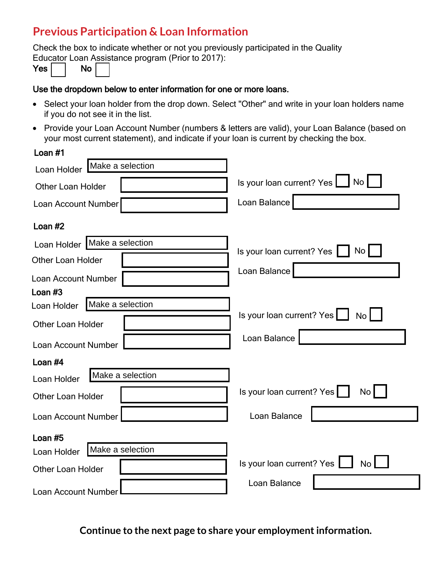### **Previous Participation & Loan Information**

Check the box to indicate whether or not you previously participated in the Quality Educator Loan Assistance program (Prior to 2017):

| Yes, |  | No |  |
|------|--|----|--|
|------|--|----|--|

#### Use the dropdown below to enter information for one or more loans.

- Select your loan holder from the drop down. Select "Other" and write in your loan holders name if you do not see it in the list.
- Provide your Loan Account Number (numbers & letters are valid), your Loan Balance (based on your most current statement), and indicate if your loan is current by checking the box.

| Loan $#1$                       |                                              |
|---------------------------------|----------------------------------------------|
| Make a selection<br>Loan Holder |                                              |
| <b>Other Loan Holder</b>        | Is your loan current? Yes   No               |
| Loan Account Number             | Loan Balance                                 |
| Loan $#2$                       |                                              |
| Loan Holder   Make a selection  | No<br>Is your loan current? Yes              |
| <b>Other Loan Holder</b>        |                                              |
| Loan Account Number             | Loan Balance                                 |
| Loan #3                         |                                              |
| Make a selection<br>Loan Holder |                                              |
| <b>Other Loan Holder</b>        | Is your loan current? Yes No                 |
| Loan Account Number             | Loan Balance                                 |
| Loan $#4$                       |                                              |
| Make a selection<br>Loan Holder |                                              |
| <b>Other Loan Holder</b>        | Is your loan current? Yes<br>No <sub>1</sub> |
| Loan Account Number             | Loan Balance                                 |
| Loan $#5$                       |                                              |
| Make a selection<br>Loan Holder |                                              |
| <b>Other Loan Holder</b>        | Is your loan current? Yes  <br><b>No</b>     |
| Loan Account Number             | Loan Balance                                 |

**Continue to the next page to share your employment information.**